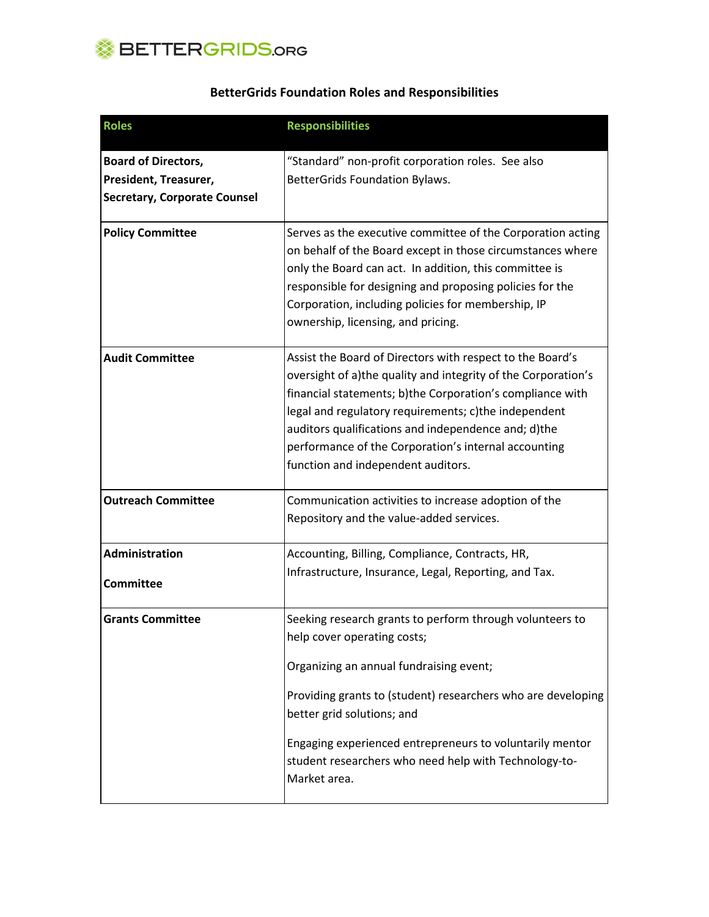

| <b>Roles</b>                        | <b>Responsibilities</b>                                                                                                                                                                                                                                                                                                                                                                              |
|-------------------------------------|------------------------------------------------------------------------------------------------------------------------------------------------------------------------------------------------------------------------------------------------------------------------------------------------------------------------------------------------------------------------------------------------------|
| <b>Board of Directors,</b>          | "Standard" non-profit corporation roles. See also                                                                                                                                                                                                                                                                                                                                                    |
| President, Treasurer,               | BetterGrids Foundation Bylaws.                                                                                                                                                                                                                                                                                                                                                                       |
| <b>Secretary, Corporate Counsel</b> |                                                                                                                                                                                                                                                                                                                                                                                                      |
| <b>Policy Committee</b>             | Serves as the executive committee of the Corporation acting<br>on behalf of the Board except in those circumstances where<br>only the Board can act. In addition, this committee is<br>responsible for designing and proposing policies for the<br>Corporation, including policies for membership, IP<br>ownership, licensing, and pricing.                                                          |
| <b>Audit Committee</b>              | Assist the Board of Directors with respect to the Board's<br>oversight of a)the quality and integrity of the Corporation's<br>financial statements; b)the Corporation's compliance with<br>legal and regulatory requirements; c)the independent<br>auditors qualifications and independence and; d)the<br>performance of the Corporation's internal accounting<br>function and independent auditors. |
| <b>Outreach Committee</b>           | Communication activities to increase adoption of the<br>Repository and the value-added services.                                                                                                                                                                                                                                                                                                     |
| Administration                      | Accounting, Billing, Compliance, Contracts, HR,                                                                                                                                                                                                                                                                                                                                                      |
| <b>Committee</b>                    | Infrastructure, Insurance, Legal, Reporting, and Tax.                                                                                                                                                                                                                                                                                                                                                |
| <b>Grants Committee</b>             | Seeking research grants to perform through volunteers to<br>help cover operating costs;<br>Organizing an annual fundraising event;<br>Providing grants to (student) researchers who are developing<br>better grid solutions; and<br>Engaging experienced entrepreneurs to voluntarily mentor<br>student researchers who need help with Technology-to-<br>Market area.                                |

## BetterGrids Foundation Roles and Responsibilities